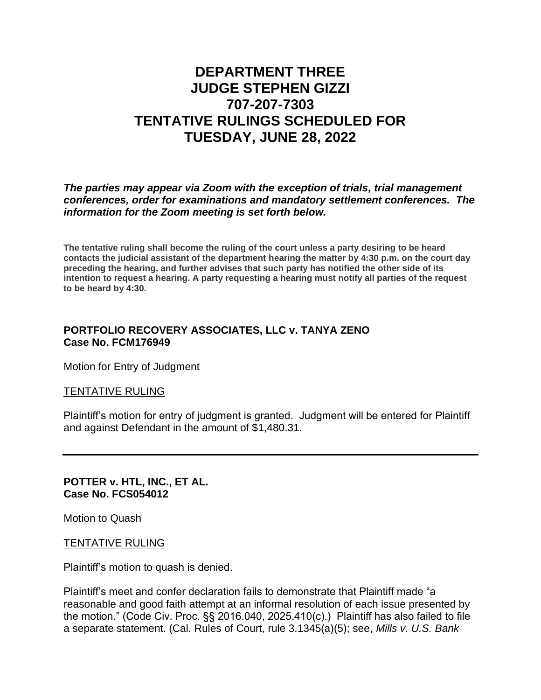# **DEPARTMENT THREE JUDGE STEPHEN GIZZI 707-207-7303 TENTATIVE RULINGS SCHEDULED FOR TUESDAY, JUNE 28, 2022**

*The parties may appear via Zoom with the exception of trials, trial management conferences, order for examinations and mandatory settlement conferences. The information for the Zoom meeting is set forth below.*

**The tentative ruling shall become the ruling of the court unless a party desiring to be heard contacts the judicial assistant of the department hearing the matter by 4:30 p.m. on the court day preceding the hearing, and further advises that such party has notified the other side of its intention to request a hearing. A party requesting a hearing must notify all parties of the request to be heard by 4:30.**

## **PORTFOLIO RECOVERY ASSOCIATES, LLC v. TANYA ZENO Case No. FCM176949**

Motion for Entry of Judgment

#### TENTATIVE RULING

Plaintiff's motion for entry of judgment is granted. Judgment will be entered for Plaintiff and against Defendant in the amount of \$1,480.31.

#### **POTTER v. HTL, INC., ET AL. Case No. FCS054012**

Motion to Quash

## TENTATIVE RULING

Plaintiff's motion to quash is denied.

Plaintiff's meet and confer declaration fails to demonstrate that Plaintiff made "a reasonable and good faith attempt at an informal resolution of each issue presented by the motion." (Code Civ. Proc. §§ 2016.040, 2025.410(c).) Plaintiff has also failed to file a separate statement. (Cal. Rules of Court, rule 3.1345(a)(5); see, *Mills v. U.S. Bank*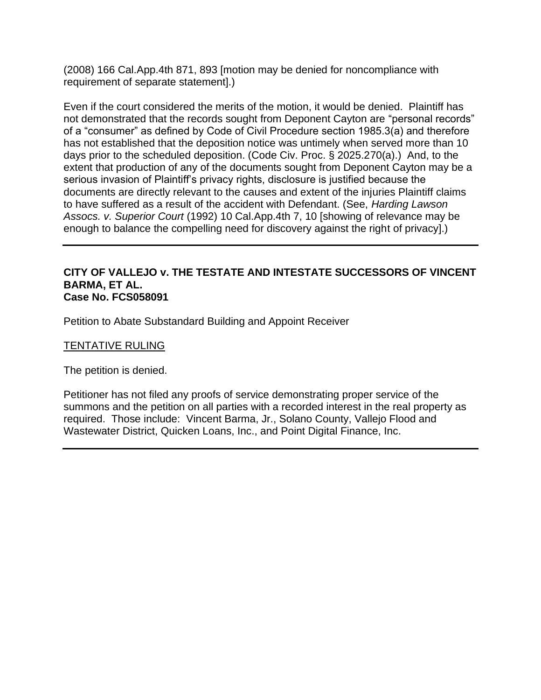(2008) 166 Cal.App.4th 871, 893 [motion may be denied for noncompliance with requirement of separate statement].)

Even if the court considered the merits of the motion, it would be denied. Plaintiff has not demonstrated that the records sought from Deponent Cayton are "personal records" of a "consumer" as defined by Code of Civil Procedure section 1985.3(a) and therefore has not established that the deposition notice was untimely when served more than 10 days prior to the scheduled deposition. (Code Civ. Proc. § 2025.270(a).) And, to the extent that production of any of the documents sought from Deponent Cayton may be a serious invasion of Plaintiff's privacy rights, disclosure is justified because the documents are directly relevant to the causes and extent of the injuries Plaintiff claims to have suffered as a result of the accident with Defendant. (See, *Harding Lawson Assocs. v. Superior Court* (1992) 10 Cal.App.4th 7, 10 [showing of relevance may be enough to balance the compelling need for discovery against the right of privacy].)

#### **CITY OF VALLEJO v. THE TESTATE AND INTESTATE SUCCESSORS OF VINCENT BARMA, ET AL. Case No. FCS058091**

Petition to Abate Substandard Building and Appoint Receiver

### TENTATIVE RULING

The petition is denied.

Petitioner has not filed any proofs of service demonstrating proper service of the summons and the petition on all parties with a recorded interest in the real property as required. Those include: Vincent Barma, Jr., Solano County, Vallejo Flood and Wastewater District, Quicken Loans, Inc., and Point Digital Finance, Inc.